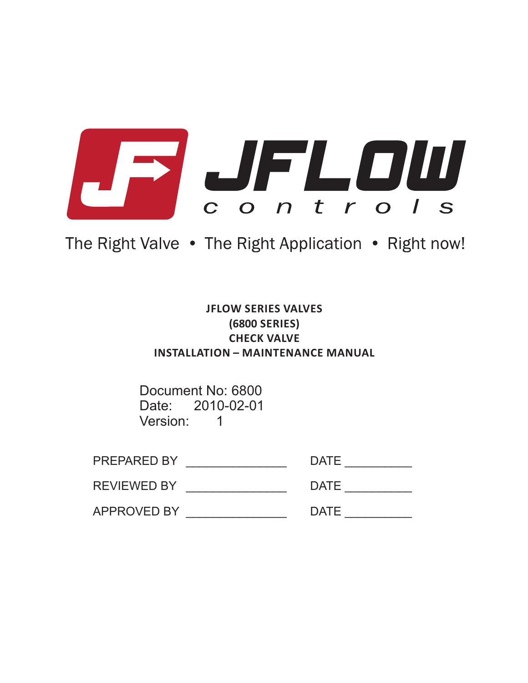

# The Right Valve . The Right Application . Right now!

## **JFLOW SERIES VALVES (6800 SERIES) CHECK VALVE INSTALLATION – MAINTENANCE MANUAL**

Document No: 6800 Date: 2010-02-01 Version: 1

| <b>PREPARED BY</b> | <b>DATE</b> |
|--------------------|-------------|
| <b>REVIEWED BY</b> | <b>DATE</b> |
| <b>APPROVED BY</b> | <b>DATE</b> |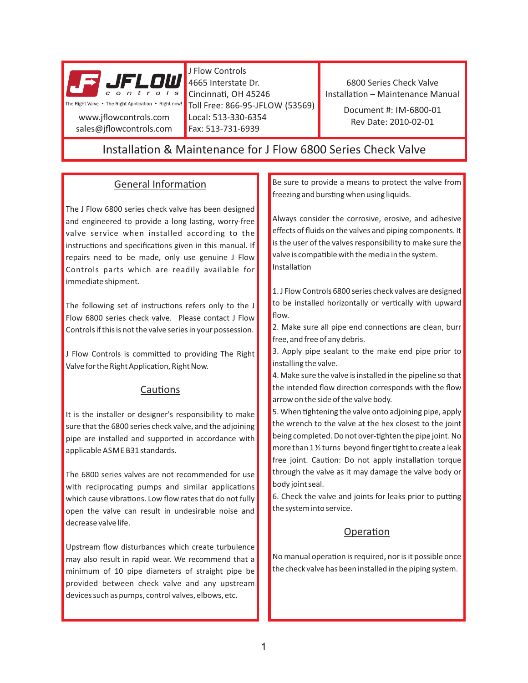

J Flow Controls 4665 Interstate Dr. Cincinnati, OH 45246 Toll Free: 866-95-JFLOW (53569) Local: 513-330-6354 Fax: 513-731-6939

6800 Series Check Valve Installation - Maintenance Manual

> Document #: IM-6800-01 Rev Date: 2010-02-01

## Installation & Maintenance for J Flow 6800 Series Check Valve

### General Information

The J Flow 6800 series check valve has been designed and engineered to provide a long lasting, worry-free valve service when installed according to the instructions and specifications given in this manual. If repairs need to be made, only use genuine J Flow Controls parts which are readily available for immediate shipment.

The following set of instructions refers only to the J Flow 6800 series check valve. Please contact J Flow Controls if this is not the valve series in your possession.

J Flow Controls is committed to providing The Right Valve for the Right Application, Right Now.

#### Cautions

It is the installer or designer's responsibility to make sure that the 6800 series check valve, and the adjoining pipe are installed and supported in accordance with applicable ASME B31 standards.

The 6800 series valves are not recommended for use with reciprocating pumps and similar applications which cause vibrations. Low flow rates that do not fully open the valve can result in undesirable noise and decrease valve life.

Upstream flow disturbances which create turbulence may also result in rapid wear. We recommend that a minimum of 10 pipe diameters of straight pipe be provided between check valve and any upstream devices such as pumps, control valves, elbows, etc.

Be sure to provide a means to protect the valve from freezing and bursting when using liquids.

Always consider the corrosive, erosive, and adhesive effects of fluids on the valves and piping components. It is the user of the valves responsibility to make sure the valve is compatible with the media in the system. Installation

1. J Flow Controls 6800 series check valves are designed to be installed horizontally or vertically with upward flow.

2. Make sure all pipe end connections are clean, burr free, and free of any debris.

3. Apply pipe sealant to the make end pipe prior to installing the valve.

4. Make sure the valve is installed in the pipeline so that the intended flow direction corresponds with the flow arrow on the side of the valve body.

5. When tightening the valve onto adjoining pipe, apply the wrench to the valve at the hex closest to the joint being completed. Do not over-tighten the pipe joint. No more than 1 1/2 turns beyond finger tight to create a leak free joint. Caution: Do not apply installation torque through the valve as it may damage the valve body or body joint seal.

6. Check the valve and joints for leaks prior to putting the system into service.

### Operation

No manual operation is required, nor is it possible once the check valve has been installed in the piping system.